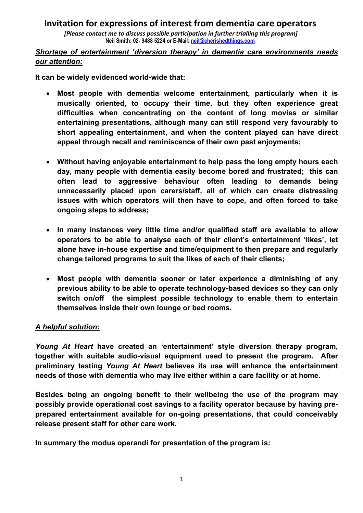*[Please contact me to discuss possible participation in further trialling this program]* **Neil Smith: 02- 9488 5224 or E-Mail: neil@cherishedthings.com**

### *Shortage of entertainment 'diversion therapy' in dementia care environments needs our attention:*

**It can be widely evidenced world-wide that:**

- **Most people with dementia welcome entertainment, particularly when it is musically oriented, to occupy their time, but they often experience great difficulties when concentrating on the content of long movies or similar entertaining presentations, although many can still respond very favourably to short appealing entertainment, and when the content played can have direct appeal through recall and reminiscence of their own past enjoyments;**
- **Without having enjoyable entertainment to help pass the long empty hours each day, many people with dementia easily become bored and frustrated; this can often lead to aggressive behaviour often leading to demands being unnecessarily placed upon carers/staff, all of which can create distressing issues with which operators will then have to cope, and often forced to take ongoing steps to address;**
- **In many instances very little time and/or qualified staff are available to allow operators to be able to analyse each of their client's entertainment 'likes', let alone have in-house expertise and time/equipment to then prepare and regularly change tailored programs to suit the likes of each of their clients;**
- **Most people with dementia sooner or later experience a diminishing of any previous ability to be able to operate technology-based devices so they can only switch on/off the simplest possible technology to enable them to entertain themselves inside their own lounge or bed rooms.**

### *A helpful solution:*

*Young At Heart* **have created an 'entertainment' style diversion therapy program, together with suitable audio-visual equipment used to present the program. After preliminary testing** *Young At Heart* **believes its use will enhance the entertainment needs of those with dementia who may live either within a care facility or at home.** 

**Besides being an ongoing benefit to their wellbeing the use of the program may possibly provide operational cost savings to a facility operator because by having preprepared entertainment available for on-going presentations, that could conceivably release present staff for other care work.** 

**In summary the modus operandi for presentation of the program is:**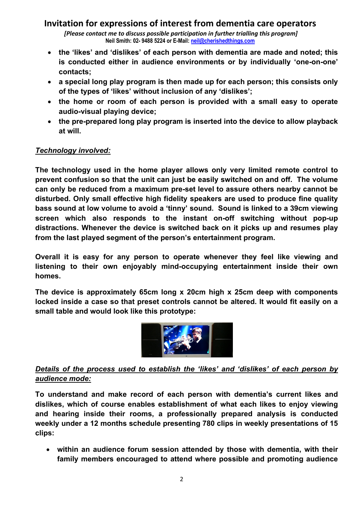*[Please contact me to discuss possible participation in further trialling this program]* **Neil Smith: 02- 9488 5224 or E-Mail: neil@cherishedthings.com**

- **the 'likes' and 'dislikes' of each person with dementia are made and noted; this is conducted either in audience environments or by individually 'one-on-one' contacts;**
- **a special long play program is then made up for each person; this consists only of the types of 'likes' without inclusion of any 'dislikes';**
- **the home or room of each person is provided with a small easy to operate audio-visual playing device;**
- **the pre-prepared long play program is inserted into the device to allow playback at will.**

### *Technology involved:*

**The technology used in the home player allows only very limited remote control to prevent confusion so that the unit can just be easily switched on and off. The volume can only be reduced from a maximum pre-set level to assure others nearby cannot be disturbed. Only small effective high fidelity speakers are used to produce fine quality bass sound at low volume to avoid a 'tinny' sound. Sound is linked to a 39cm viewing screen which also responds to the instant on-off switching without pop-up distractions. Whenever the device is switched back on it picks up and resumes play from the last played segment of the person's entertainment program.**

**Overall it is easy for any person to operate whenever they feel like viewing and listening to their own enjoyably mind-occupying entertainment inside their own homes.**

**The device is approximately 65cm long x 20cm high x 25cm deep with components locked inside a case so that preset controls cannot be altered. It would fit easily on a small table and would look like this prototype:**



### *Details of the process used to establish the 'likes' and 'dislikes' of each person by audience mode:*

**To understand and make record of each person with dementia's current likes and dislikes, which of course enables establishment of what each likes to enjoy viewing and hearing inside their rooms, a professionally prepared analysis is conducted weekly under a 12 months schedule presenting 780 clips in weekly presentations of 15 clips:**

• **within an audience forum session attended by those with dementia, with their family members encouraged to attend where possible and promoting audience**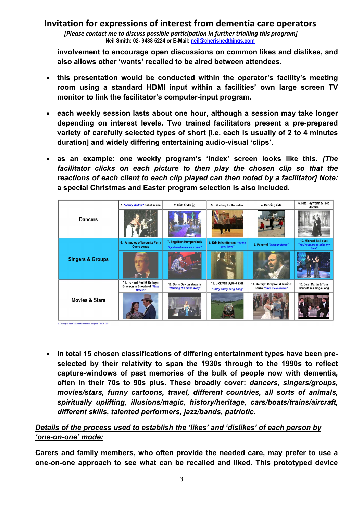*[Please contact me to discuss possible participation in further trialling this program]* **Neil Smith: 02- 9488 5224 or E-Mail: neil@cherishedthings.com**

**involvement to encourage open discussions on common likes and dislikes, and also allows other 'wants' recalled to be aired between attendees.**

- **this presentation would be conducted within the operator's facility's meeting room using a standard HDMI input within a facilities' own large screen TV monitor to link the facilitator's computer-input program.**
- **each weekly session lasts about one hour, although a session may take longer depending on interest levels. Two trained facilitators present a pre-prepared variety of carefully selected types of short [i.e. each is usually of 2 to 4 minutes duration] and widely differing entertaining audio-visual 'clips'.**
- **as an example: one weekly program's 'index' screen looks like this.** *[The facilitator clicks on each picture to then play the chosen clip so that the reactions of each client to each clip played can then noted by a facilitator] Note:*  **a special Christmas and Easter program selection is also included.**



• **In total 15 chosen classifications of differing entertainment types have been preselected by their relativity to span the 1930s through to the 1990s to reflect capture-windows of past memories of the bulk of people now with dementia, often in their 70s to 90s plus. These broadly cover:** *dancers, singers/groups, movies/stars, funny cartoons, travel, different countries, all sorts of animals, spiritually uplifting, illusions/magic, history/heritage, cars/boats/trains/aircraft, different skills, talented performers, jazz/bands, patriotic***.** 

# *Details of the process used to establish the 'likes' and 'dislikes' of each person by 'one-on-one' mode:*

**Carers and family members, who often provide the needed care, may prefer to use a one-on-one approach to see what can be recalled and liked. This prototyped device**